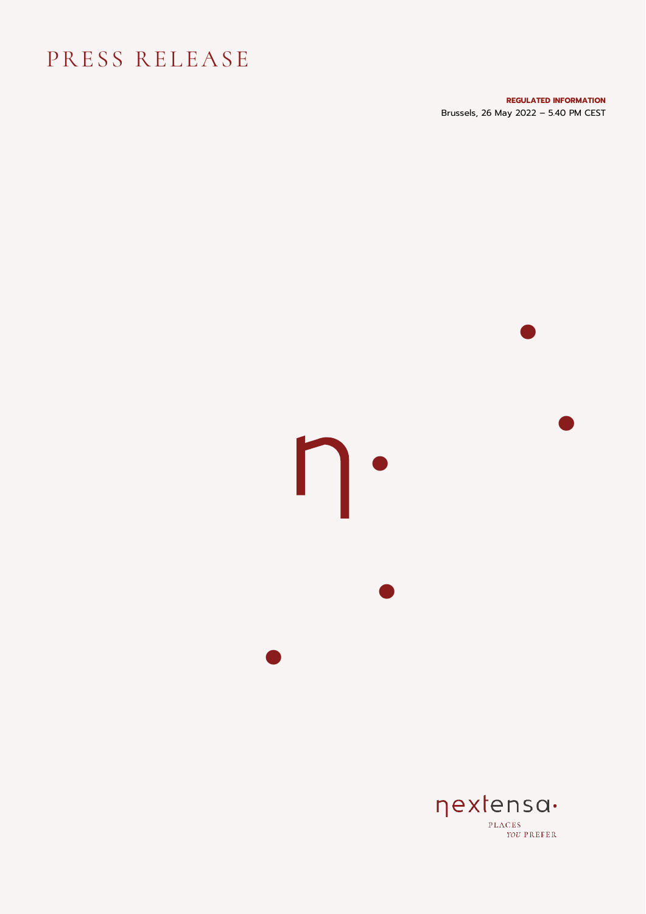## PRESS RELEASE

**REGULATED INFORMATION** Brussels, 26 May 2022 – 5.40 PM CEST